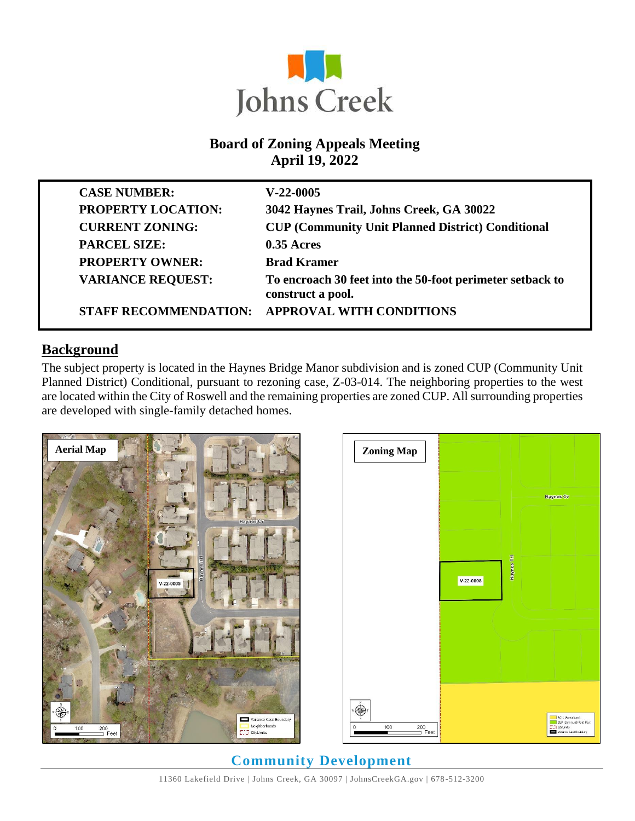

#### **Board of Zoning Appeals Meeting April 19, 2022**

| <b>CASE NUMBER:</b>          | $V-22-0005$                                                                    |
|------------------------------|--------------------------------------------------------------------------------|
| <b>PROPERTY LOCATION:</b>    | 3042 Haynes Trail, Johns Creek, GA 30022                                       |
| <b>CURRENT ZONING:</b>       | <b>CUP (Community Unit Planned District) Conditional</b>                       |
| <b>PARCEL SIZE:</b>          | $0.35$ Acres                                                                   |
| <b>PROPERTY OWNER:</b>       | <b>Brad Kramer</b>                                                             |
| <b>VARIANCE REQUEST:</b>     | To encroach 30 feet into the 50-foot perimeter setback to<br>construct a pool. |
| <b>STAFF RECOMMENDATION:</b> | <b>APPROVAL WITH CONDITIONS</b>                                                |

#### **Background**

The subject property is located in the Haynes Bridge Manor subdivision and is zoned CUP (Community Unit Planned District) Conditional, pursuant to rezoning case, Z-03-014. The neighboring properties to the west are located within the City of Roswell and the remaining properties are zoned CUP. All surrounding properties are developed with single-family detached homes.





# **Community Development**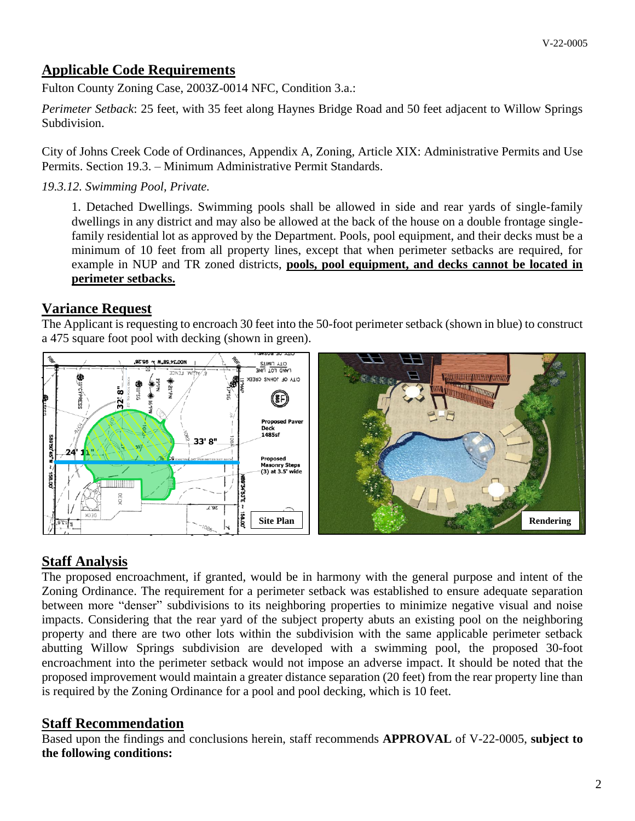# **Applicable Code Requirements**

Fulton County Zoning Case, 2003Z-0014 NFC, Condition 3.a.:

*Perimeter Setback*: 25 feet, with 35 feet along Haynes Bridge Road and 50 feet adjacent to Willow Springs Subdivision.

City of Johns Creek Code of Ordinances, Appendix A, Zoning, Article XIX: Administrative Permits and Use Permits. Section 19.3. – Minimum Administrative Permit Standards.

*19.3.12. Swimming Pool, Private.*

1. Detached Dwellings. Swimming pools shall be allowed in side and rear yards of single-family dwellings in any district and may also be allowed at the back of the house on a double frontage singlefamily residential lot as approved by the Department. Pools, pool equipment, and their decks must be a minimum of 10 feet from all property lines, except that when perimeter setbacks are required, for example in NUP and TR zoned districts, **pools, pool equipment, and decks cannot be located in perimeter setbacks.**

#### **Variance Request**

The Applicant is requesting to encroach 30 feet into the 50-foot perimeter setback (shown in blue) to construct a 475 square foot pool with decking (shown in green).



## **Staff Analysis**

The proposed encroachment, if granted, would be in harmony with the general purpose and intent of the Zoning Ordinance. The requirement for a perimeter setback was established to ensure adequate separation between more "denser" subdivisions to its neighboring properties to minimize negative visual and noise impacts. Considering that the rear yard of the subject property abuts an existing pool on the neighboring property and there are two other lots within the subdivision with the same applicable perimeter setback abutting Willow Springs subdivision are developed with a swimming pool, the proposed 30-foot encroachment into the perimeter setback would not impose an adverse impact. It should be noted that the proposed improvement would maintain a greater distance separation (20 feet) from the rear property line than is required by the Zoning Ordinance for a pool and pool decking, which is 10 feet.

## **Staff Recommendation**

Based upon the findings and conclusions herein, staff recommends **APPROVAL** of V-22-0005, **subject to the following conditions:**